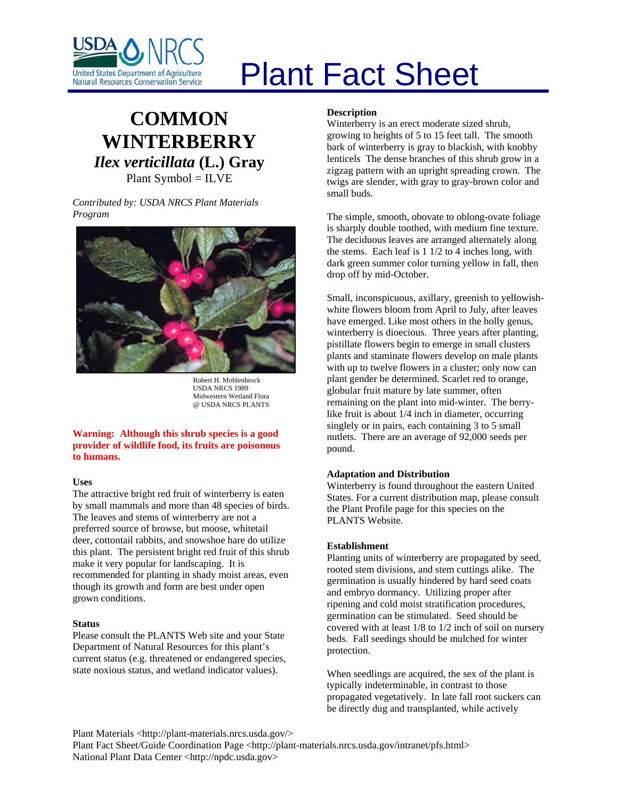

# Plant Fact Sheet

# **COMMON WINTERBERRY** *Ilex verticillata* **(L.) Gray** Plant Symbol = ILVE

*Contributed by: USDA NRCS Plant Materials Program* 



Robert H. Mohlenbrock USDA NRCS 1989 Midwestern Wetland Flora @ USDA NRCS PLANTS

#### **Warning: Although this shrub species is a good provider of wildlife food, its fruits are poisonous to humans.**

# **Uses**

The attractive bright red fruit of winterberry is eaten by small mammals and more than 48 species of birds. The leaves and stems of winterberry are not a preferred source of browse, but moose, whitetail deer, cottontail rabbits, and snowshoe hare do utilize this plant. The persistent bright red fruit of this shrub make it very popular for landscaping. It is recommended for planting in shady moist areas, even though its growth and form are best under open grown conditions.

#### **Status**

Please consult the PLANTS Web site and your State Department of Natural Resources for this plant's current status (e.g. threatened or endangered species, state noxious status, and wetland indicator values).

# **Description**

Winterberry is an erect moderate sized shrub, growing to heights of 5 to 15 feet tall. The smooth bark of winterberry is gray to blackish, with knobby lenticels The dense branches of this shrub grow in a zigzag pattern with an upright spreading crown. The twigs are slender, with gray to gray-brown color and small buds.

The simple, smooth, obovate to oblong-ovate foliage is sharply double toothed, with medium fine texture. The deciduous leaves are arranged alternately along the stems. Each leaf is 1 1/2 to 4 inches long, with dark green summer color turning yellow in fall, then drop off by mid-October.

Small, inconspicuous, axillary, greenish to yellowishwhite flowers bloom from April to July, after leaves have emerged. Like most others in the holly genus, winterberry is dioecious. Three years after planting, pistillate flowers begin to emerge in small clusters plants and staminate flowers develop on male plants with up to twelve flowers in a cluster; only now can plant gender be determined. Scarlet red to orange, globular fruit mature by late summer, often remaining on the plant into mid-winter. The berrylike fruit is about 1/4 inch in diameter, occurring singlely or in pairs, each containing 3 to 5 small nutlets. There are an average of 92,000 seeds per pound.

# **Adaptation and Distribution**

Winterberry is found throughout the eastern United States. For a current distribution map, please consult the Plant Profile page for this species on the PLANTS Website.

# **Establishment**

Planting units of winterberry are propagated by seed, rooted stem divisions, and stem cuttings alike. The germination is usually hindered by hard seed coats and embryo dormancy. Utilizing proper after ripening and cold moist stratification procedures, germination can be stimulated. Seed should be covered with at least 1/8 to 1/2 inch of soil on nursery beds. Fall seedings should be mulched for winter protection.

When seedlings are acquired, the sex of the plant is typically indeterminable, in contrast to those propagated vegetatively. In late fall root suckers can be directly dug and transplanted, while actively

Plant Materials <http://plant-materials.nrcs.usda.gov/>

Plant Fact Sheet/Guide Coordination Page <http://plant-materials.nrcs.usda.gov/intranet/pfs.html> National Plant Data Center <http://npdc.usda.gov>